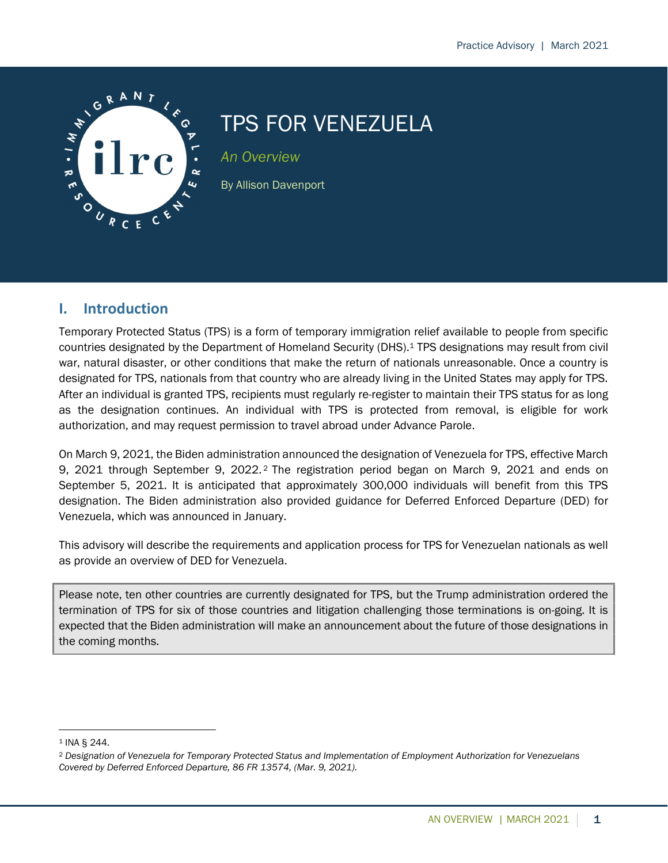

# TPS FOR VENEZUELA

An Overview

By Allison Davenport

## I. Introduction

Temporary Protected Status (TPS) is a form of temporary immigration relief available to people from specific countries designated by the Department of Homeland Security (DHS).1 TPS designations may result from civil war, natural disaster, or other conditions that make the return of nationals unreasonable. Once a country is designated for TPS, nationals from that country who are already living in the United States may apply for TPS. After an individual is granted TPS, recipients must regularly re-register to maintain their TPS status for as long as the designation continues. An individual with TPS is protected from removal, is eligible for work authorization, and may request permission to travel abroad under Advance Parole.

On March 9, 2021, the Biden administration announced the designation of Venezuela for TPS, effective March 9, 2021 through September 9, 2022. <sup>2</sup> The registration period began on March 9, 2021 and ends on September 5, 2021. It is anticipated that approximately 300,000 individuals will benefit from this TPS designation. The Biden administration also provided guidance for Deferred Enforced Departure (DED) for Venezuela, which was announced in January.

This advisory will describe the requirements and application process for TPS for Venezuelan nationals as well as provide an overview of DED for Venezuela.

Please note, ten other countries are currently designated for TPS, but the Trump administration ordered the termination of TPS for six of those countries and litigation challenging those terminations is on-going. It is expected that the Biden administration will make an announcement about the future of those designations in the coming months.

<sup>1</sup> INA § 244.

<sup>2</sup> Designation of Venezuela for Temporary Protected Status and Implementation of Employment Authorization for Venezuelans Covered by Deferred Enforced Departure, 86 FR 13574, (Mar. 9, 2021).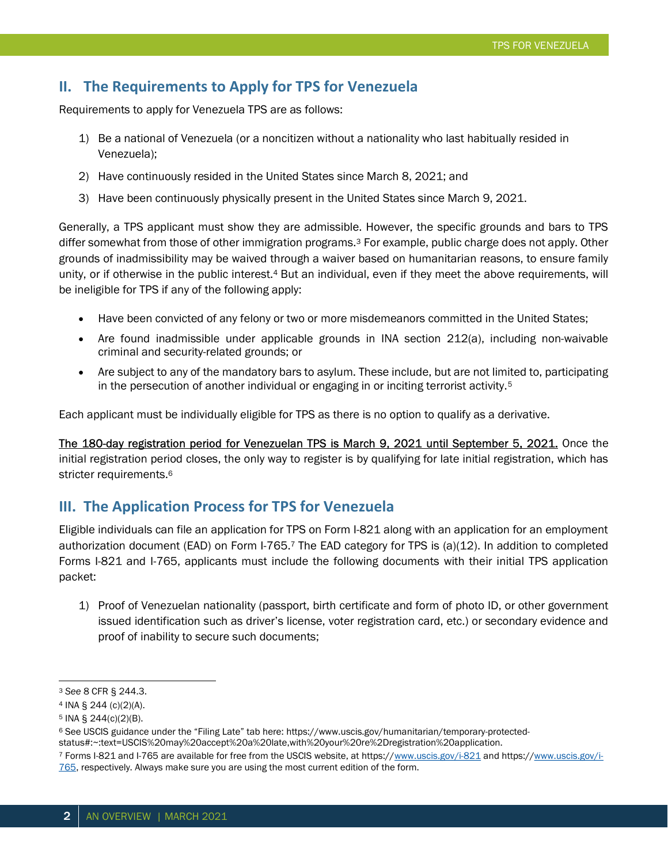## II. The Requirements to Apply for TPS for Venezuela

Requirements to apply for Venezuela TPS are as follows:

- 1) Be a national of Venezuela (or a noncitizen without a nationality who last habitually resided in Venezuela);
- 2) Have continuously resided in the United States since March 8, 2021; and
- 3) Have been continuously physically present in the United States since March 9, 2021.

Generally, a TPS applicant must show they are admissible. However, the specific grounds and bars to TPS differ somewhat from those of other immigration programs.3 For example, public charge does not apply. Other grounds of inadmissibility may be waived through a waiver based on humanitarian reasons, to ensure family unity, or if otherwise in the public interest.4 But an individual, even if they meet the above requirements, will be ineligible for TPS if any of the following apply:

- Have been convicted of any felony or two or more misdemeanors committed in the United States;
- Are found inadmissible under applicable grounds in INA section 212(a), including non-waivable criminal and security-related grounds; or
- Are subject to any of the mandatory bars to asylum. These include, but are not limited to, participating in the persecution of another individual or engaging in or inciting terrorist activity.<sup>5</sup>

Each applicant must be individually eligible for TPS as there is no option to qualify as a derivative.

The 180-day registration period for Venezuelan TPS is March 9, 2021 until September 5, 2021. Once the initial registration period closes, the only way to register is by qualifying for late initial registration, which has stricter requirements.<sup>6</sup>

## III. The Application Process for TPS for Venezuela

Eligible individuals can file an application for TPS on Form I-821 along with an application for an employment authorization document (EAD) on Form I-765.7 The EAD category for TPS is (a)(12). In addition to completed Forms I-821 and I-765, applicants must include the following documents with their initial TPS application packet:

1) Proof of Venezuelan nationality (passport, birth certificate and form of photo ID, or other government issued identification such as driver's license, voter registration card, etc.) or secondary evidence and proof of inability to secure such documents;

<sup>3</sup> See 8 CFR § 244.3.

<sup>4</sup> INA § 244 (c)(2)(A).

<sup>5</sup> INA § 244(c)(2)(B).

<sup>6</sup> See USCIS guidance under the "Filing Late" tab here: https://www.uscis.gov/humanitarian/temporary-protected-

status#:~:text=USCIS%20may%20accept%20a%20late,with%20your%20re%2Dregistration%20application.

<sup>7</sup> Forms I-821 and I-765 are available for free from the USCIS website, at https://www.uscis.gov/i-821 and https://www.uscis.gov/i-765, respectively. Always make sure you are using the most current edition of the form.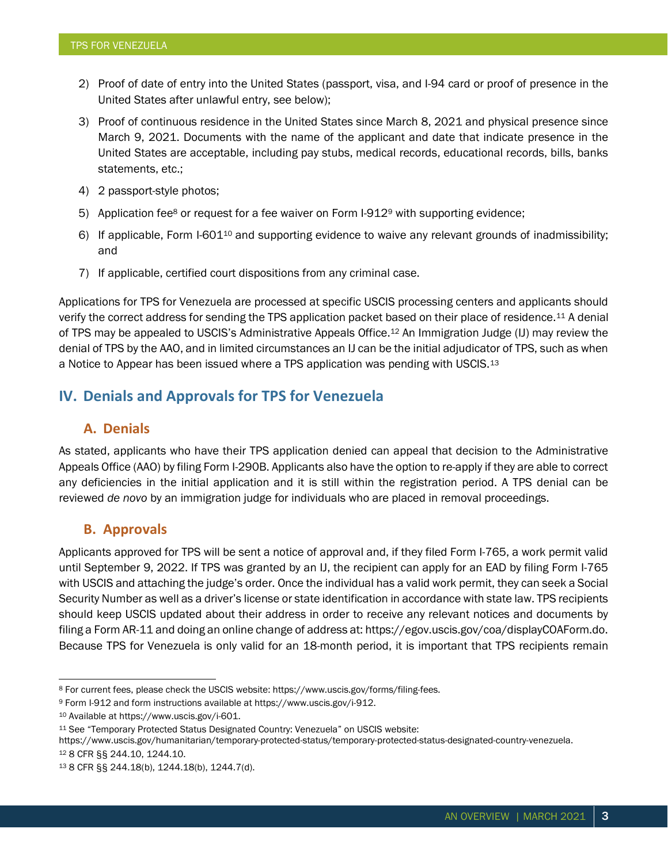- 2) Proof of date of entry into the United States (passport, visa, and I-94 card or proof of presence in the United States after unlawful entry, see below);
- 3) Proof of continuous residence in the United States since March 8, 2021 and physical presence since March 9, 2021. Documents with the name of the applicant and date that indicate presence in the United States are acceptable, including pay stubs, medical records, educational records, bills, banks statements, etc.;
- 4) 2 passport-style photos;
- 5) Application fee<sup>8</sup> or request for a fee waiver on Form  $I-912$ <sup>9</sup> with supporting evidence;
- 6) If applicable, Form I-60110 and supporting evidence to waive any relevant grounds of inadmissibility; and
- 7) If applicable, certified court dispositions from any criminal case.

Applications for TPS for Venezuela are processed at specific USCIS processing centers and applicants should verify the correct address for sending the TPS application packet based on their place of residence.11 A denial of TPS may be appealed to USCIS's Administrative Appeals Office.12 An Immigration Judge (IJ) may review the denial of TPS by the AAO, and in limited circumstances an IJ can be the initial adjudicator of TPS, such as when a Notice to Appear has been issued where a TPS application was pending with USCIS.<sup>13</sup>

## IV. Denials and Approvals for TPS for Venezuela

### A. Denials

As stated, applicants who have their TPS application denied can appeal that decision to the Administrative Appeals Office (AAO) by filing Form I-290B. Applicants also have the option to re-apply if they are able to correct any deficiencies in the initial application and it is still within the registration period. A TPS denial can be reviewed de novo by an immigration judge for individuals who are placed in removal proceedings.

#### B. Approvals

Applicants approved for TPS will be sent a notice of approval and, if they filed Form I-765, a work permit valid until September 9, 2022. If TPS was granted by an IJ, the recipient can apply for an EAD by filing Form I-765 with USCIS and attaching the judge's order. Once the individual has a valid work permit, they can seek a Social Security Number as well as a driver's license or state identification in accordance with state law. TPS recipients should keep USCIS updated about their address in order to receive any relevant notices and documents by filing a Form AR-11 and doing an online change of address at: https://egov.uscis.gov/coa/displayCOAForm.do. Because TPS for Venezuela is only valid for an 18-month period, it is important that TPS recipients remain

https://www.uscis.gov/humanitarian/temporary-protected-status/temporary-protected-status-designated-country-venezuela. <sup>12</sup> 8 CFR §§ 244.10, 1244.10.

<sup>8</sup> For current fees, please check the USCIS website: https://www.uscis.gov/forms/filing-fees.

<sup>9</sup> Form I-912 and form instructions available at https://www.uscis.gov/i-912.

<sup>10</sup> Available at https://www.uscis.gov/i-601.

<sup>11</sup> See "Temporary Protected Status Designated Country: Venezuela" on USCIS website:

<sup>13</sup> 8 CFR §§ 244.18(b), 1244.18(b), 1244.7(d).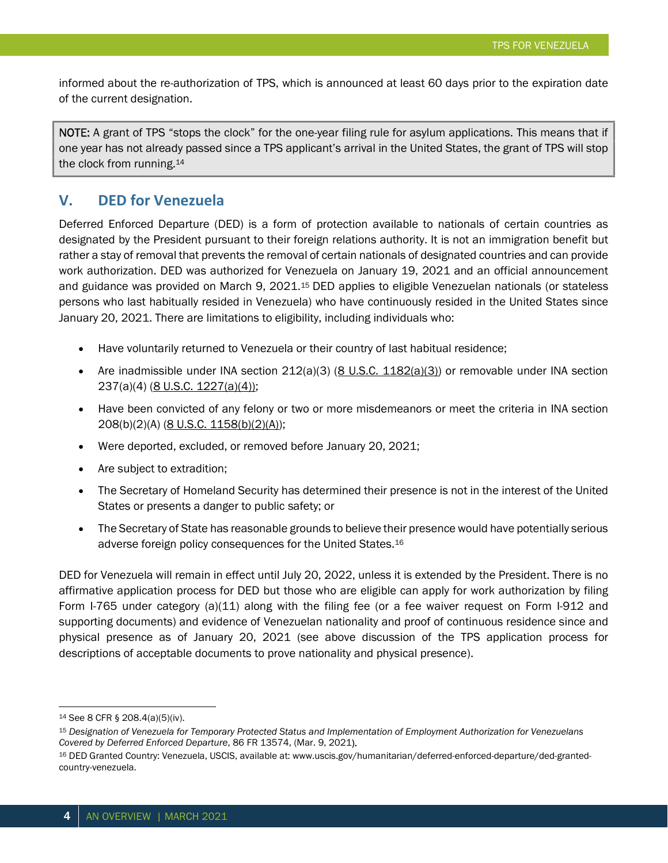informed about the re-authorization of TPS, which is announced at least 60 days prior to the expiration date of the current designation.

NOTE: A grant of TPS "stops the clock" for the one-year filing rule for asylum applications. This means that if one year has not already passed since a TPS applicant's arrival in the United States, the grant of TPS will stop the clock from running.<sup>14</sup>

## V. DED for Venezuela

Deferred Enforced Departure (DED) is a form of protection available to nationals of certain countries as designated by the President pursuant to their foreign relations authority. It is not an immigration benefit but rather a stay of removal that prevents the removal of certain nationals of designated countries and can provide work authorization. DED was authorized for Venezuela on January 19, 2021 and an official announcement and guidance was provided on March 9, 2021.<sup>15</sup> DED applies to eligible Venezuelan nationals (or stateless persons who last habitually resided in Venezuela) who have continuously resided in the United States since January 20, 2021. There are limitations to eligibility, including individuals who:

- Have voluntarily returned to Venezuela or their country of last habitual residence;
- Are inadmissible under INA section  $212(a)(3)$  (8 U.S.C.  $1182(a)(3)$ ) or removable under INA section 237(a)(4) (8 U.S.C. 1227(a)(4));
- Have been convicted of any felony or two or more misdemeanors or meet the criteria in INA section 208(b)(2)(A) (8 U.S.C. 1158(b)(2)(A));
- Were deported, excluded, or removed before January 20, 2021;
- Are subject to extradition;
- The Secretary of Homeland Security has determined their presence is not in the interest of the United States or presents a danger to public safety; or
- The Secretary of State has reasonable grounds to believe their presence would have potentially serious adverse foreign policy consequences for the United States.<sup>16</sup>

DED for Venezuela will remain in effect until July 20, 2022, unless it is extended by the President. There is no affirmative application process for DED but those who are eligible can apply for work authorization by filing Form I-765 under category (a)(11) along with the filing fee (or a fee waiver request on Form I-912 and supporting documents) and evidence of Venezuelan nationality and proof of continuous residence since and physical presence as of January 20, 2021 (see above discussion of the TPS application process for descriptions of acceptable documents to prove nationality and physical presence).

<sup>14</sup> See 8 CFR § 208.4(a)(5)(iv).

<sup>15</sup> Designation of Venezuela for Temporary Protected Status and Implementation of Employment Authorization for Venezuelans Covered by Deferred Enforced Departure, 86 FR 13574, (Mar. 9, 2021).

<sup>16</sup> DED Granted Country: Venezuela, USCIS, available at: www.uscis.gov/humanitarian/deferred-enforced-departure/ded-grantedcountry-venezuela.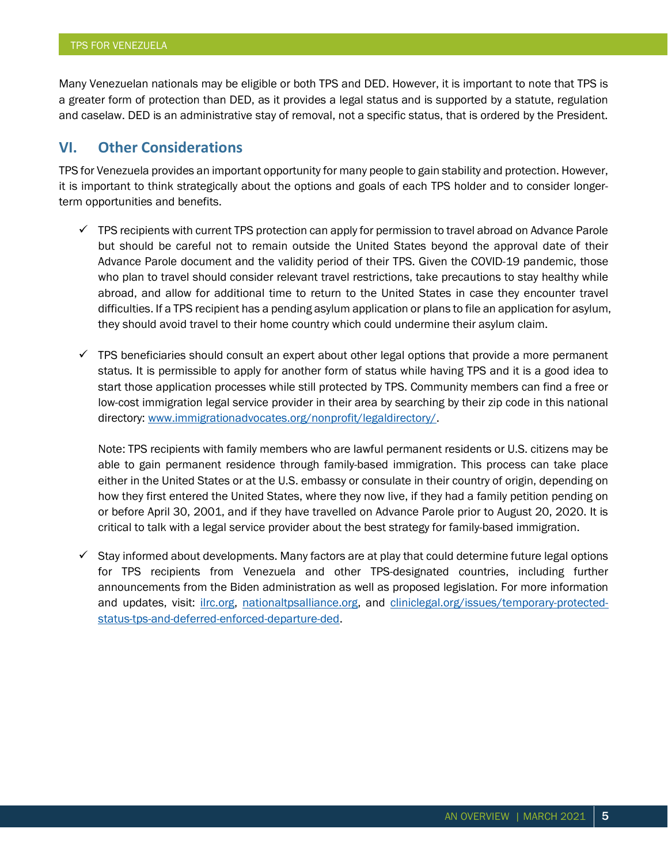Many Venezuelan nationals may be eligible or both TPS and DED. However, it is important to note that TPS is a greater form of protection than DED, as it provides a legal status and is supported by a statute, regulation and caselaw. DED is an administrative stay of removal, not a specific status, that is ordered by the President.

## VI. Other Considerations

TPS for Venezuela provides an important opportunity for many people to gain stability and protection. However, it is important to think strategically about the options and goals of each TPS holder and to consider longerterm opportunities and benefits.

- $\checkmark$  TPS recipients with current TPS protection can apply for permission to travel abroad on Advance Parole but should be careful not to remain outside the United States beyond the approval date of their Advance Parole document and the validity period of their TPS. Given the COVID-19 pandemic, those who plan to travel should consider relevant travel restrictions, take precautions to stay healthy while abroad, and allow for additional time to return to the United States in case they encounter travel difficulties. If a TPS recipient has a pending asylum application or plans to file an application for asylum, they should avoid travel to their home country which could undermine their asylum claim.
- $\checkmark$  TPS beneficiaries should consult an expert about other legal options that provide a more permanent status. It is permissible to apply for another form of status while having TPS and it is a good idea to start those application processes while still protected by TPS. Community members can find a free or low-cost immigration legal service provider in their area by searching by their zip code in this national directory: www.immigrationadvocates.org/nonprofit/legaldirectory/.

Note: TPS recipients with family members who are lawful permanent residents or U.S. citizens may be able to gain permanent residence through family-based immigration. This process can take place either in the United States or at the U.S. embassy or consulate in their country of origin, depending on how they first entered the United States, where they now live, if they had a family petition pending on or before April 30, 2001, and if they have travelled on Advance Parole prior to August 20, 2020. It is critical to talk with a legal service provider about the best strategy for family-based immigration.

 $\checkmark$  Stay informed about developments. Many factors are at play that could determine future legal options for TPS recipients from Venezuela and other TPS-designated countries, including further announcements from the Biden administration as well as proposed legislation. For more information and updates, visit: ilrc.org, nationaltpsalliance.org, and cliniclegal.org/issues/temporary-protectedstatus-tps-and-deferred-enforced-departure-ded.